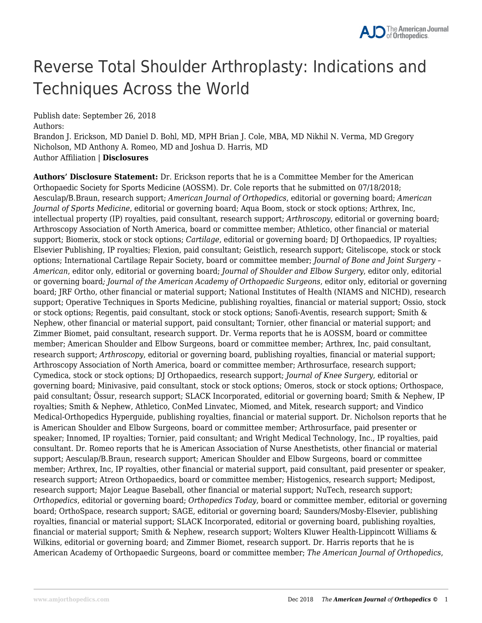# Reverse Total Shoulder Arthroplasty: Indications and Techniques Across the World

Publish date: September 26, 2018

Authors:

Brandon J. Erickson, MD Daniel D. Bohl, MD, MPH Brian J. Cole, MBA, MD Nikhil N. Verma, MD Gregory Nicholson, MD Anthony A. Romeo, MD and Joshua D. Harris, MD Author Affiliation | **Disclosures**

**Authors' Disclosure Statement:** Dr. Erickson reports that he is a Committee Member for the American Orthopaedic Society for Sports Medicine (AOSSM). Dr. Cole reports that he submitted on 07/18/2018; Aesculap/B.Braun, research support; *American Journal of Orthopedics*, editorial or governing board; *American Journal of Sports Medicine*, editorial or governing board; Aqua Boom, stock or stock options; Arthrex, Inc, intellectual property (IP) royalties, paid consultant, research support; *Arthroscopy*, editorial or governing board; Arthroscopy Association of North America, board or committee member; Athletico, other financial or material support; Biomerix, stock or stock options; *Cartilage*, editorial or governing board; DJ Orthopaedics, IP royalties; Elsevier Publishing, IP royalties; Flexion, paid consultant; Geistlich, research support; Giteliscope, stock or stock options; International Cartilage Repair Society, board or committee member; *Journal of Bone and Joint Surgery – American*, editor only, editorial or governing board; *Journal of Shoulder and Elbow Surgery*, editor only, editorial or governing board*; Journal of the American Academy of Orthopaedic Surgeons*, editor only, editorial or governing board; JRF Ortho, other financial or material support; National Institutes of Health (NIAMS and NICHD), research support; Operative Techniques in Sports Medicine, publishing royalties, financial or material support; Ossio, stock or stock options; Regentis, paid consultant, stock or stock options; Sanofi-Aventis, research support; Smith & Nephew, other financial or material support, paid consultant; Tornier, other financial or material support; and Zimmer Biomet, paid consultant, research support. Dr. Verma reports that he is AOSSM, board or committee member; American Shoulder and Elbow Surgeons, board or committee member; Arthrex, Inc, paid consultant, research support; *Arthroscopy*, editorial or governing board, publishing royalties, financial or material support; Arthroscopy Association of North America, board or committee member; Arthrosurface, research support; Cymedica, stock or stock options; DJ Orthopaedics, research support; *Journal of Knee Surgery*, editorial or governing board; Minivasive, paid consultant, stock or stock options; Omeros, stock or stock options; Orthospace, paid consultant; Össur, research support; SLACK Incorporated, editorial or governing board; Smith & Nephew, IP royalties; Smith & Nephew, Athletico, ConMed Linvatec, Miomed, and Mitek, research support; and Vindico Medical-Orthopedics Hyperguide, publishing royalties, financial or material support. Dr. Nicholson reports that he is American Shoulder and Elbow Surgeons, board or committee member; Arthrosurface, paid presenter or speaker; Innomed, IP royalties; Tornier, paid consultant; and Wright Medical Technology, Inc., IP royalties, paid consultant. Dr. Romeo reports that he is American Association of Nurse Anesthetists, other financial or material support; Aesculap/B.Braun, research support; American Shoulder and Elbow Surgeons, board or committee member; Arthrex, Inc, IP royalties, other financial or material support, paid consultant, paid presenter or speaker, research support; Atreon Orthopaedics, board or committee member; Histogenics, research support; Medipost, research support; Major League Baseball, other financial or material support; NuTech, research support; *Orthopedics*, editorial or governing board; *Orthopedics Today*, board or committee member, editorial or governing board; OrthoSpace, research support; SAGE, editorial or governing board; Saunders/Mosby-Elsevier, publishing royalties, financial or material support; SLACK Incorporated, editorial or governing board, publishing royalties, financial or material support; Smith & Nephew, research support; Wolters Kluwer Health-Lippincott Williams & Wilkins, editorial or governing board; and Zimmer Biomet, research support. Dr. Harris reports that he is American Academy of Orthopaedic Surgeons, board or committee member; *The American Journal of Orthopedics*,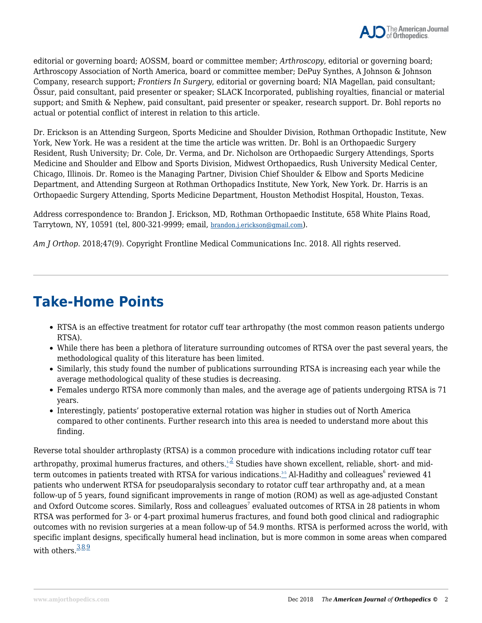editorial or governing board; AOSSM, board or committee member; *Arthroscopy*, editorial or governing board; Arthroscopy Association of North America, board or committee member; DePuy Synthes, A Johnson & Johnson Company, research support; *Frontiers In Surgery*, editorial or governing board; NIA Magellan, paid consultant; Össur, paid consultant, paid presenter or speaker; SLACK Incorporated, publishing royalties, financial or material support; and Smith & Nephew, paid consultant, paid presenter or speaker, research support. Dr. Bohl reports no actual or potential conflict of interest in relation to this article.

Dr. Erickson is an Attending Surgeon, Sports Medicine and Shoulder Division, Rothman Orthopadic Institute, New York, New York. He was a resident at the time the article was written. Dr. Bohl is an Orthopaedic Surgery Resident, Rush University; Dr. Cole, Dr. Verma, and Dr. Nicholson are Orthopaedic Surgery Attendings, Sports Medicine and Shoulder and Elbow and Sports Division, Midwest Orthopaedics, Rush University Medical Center, Chicago, Illinois. Dr. Romeo is the Managing Partner, Division Chief Shoulder & Elbow and Sports Medicine Department, and Attending Surgeon at Rothman Orthopadics Institute, New York, New York. Dr. Harris is an Orthopaedic Surgery Attending, Sports Medicine Department, Houston Methodist Hospital, Houston, Texas.

Address correspondence to: Brandon J. Erickson, MD, Rothman Orthopaedic Institute, 658 White Plains Road, Tarrytown, NY, 10591 (tel, 800-321-9999; email, brandon.j.erickson@gmail.com).

*Am J Orthop*. 2018;47(9). Copyright Frontline Medical Communications Inc. 2018. All rights reserved.

### **Take-Home Points**

- RTSA is an effective treatment for rotator cuff tear arthropathy (the most common reason patients undergo RTSA).
- While there has been a plethora of literature surrounding outcomes of RTSA over the past several years, the methodological quality of this literature has been limited.
- Similarly, this study found the number of publications surrounding RTSA is increasing each year while the average methodological quality of these studies is decreasing.
- Females undergo RTSA more commonly than males, and the average age of patients undergoing RTSA is 71 years.
- Interestingly, patients' postoperative external rotation was higher in studies out of North America compared to other continents. Further research into this area is needed to understand more about this finding.

Reverse total shoulder arthroplasty (RTSA) is a common procedure with indications including rotator cuff tear

arthropathy, proximal humerus fractures, and others. $^{1,2}_{-}$  Studies have shown excellent, reliable, short- and midterm outcomes in patients treated with RTSA for various indications. $^{_{35}}$  Al-Hadithy and colleagues $^6$  reviewed 41 patients who underwent RTSA for pseudoparalysis secondary to rotator cuff tear arthropathy and, at a mean follow-up of 5 years, found significant improvements in range of motion (ROM) as well as age-adjusted Constant and Oxford Outcome scores. Similarly, Ross and colleagues $^7$  evaluated outcomes of RTSA in 28 patients in whom RTSA was performed for 3- or 4-part proximal humerus fractures, and found both good clinical and radiographic outcomes with no revision surgeries at a mean follow-up of 54.9 months. RTSA is performed across the world, with specific implant designs, specifically humeral head inclination, but is more common in some areas when compared with others.  $\frac{3.8.9}{ }$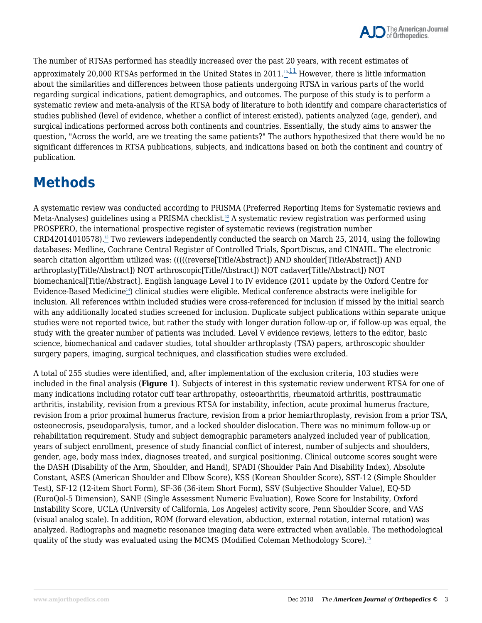

The number of RTSAs performed has steadily increased over the past 20 years, with recent estimates of approximately 20,000 RTSAs performed in the United States in 2011.<sup>10,11</sup> However, there is little information about the similarities and differences between those patients undergoing RTSA in various parts of the world regarding surgical indications, patient demographics, and outcomes. The purpose of this study is to perform a systematic review and meta-analysis of the RTSA body of literature to both identify and compare characteristics of studies published (level of evidence, whether a conflict of interest existed), patients analyzed (age, gender), and surgical indications performed across both continents and countries. Essentially, the study aims to answer the question, "Across the world, are we treating the same patients?" The authors hypothesized that there would be no significant differences in RTSA publications, subjects, and indications based on both the continent and country of publication.

## **Methods**

A systematic review was conducted according to PRISMA (Preferred Reporting Items for Systematic reviews and Meta-Analyses) guidelines using a PRISMA checklist.<sup>12</sup> A systematic review registration was performed using PROSPERO, the international prospective register of systematic reviews (registration number  $CRD42014010578$ .<sup>13</sup> Two reviewers independently conducted the search on March 25, 2014, using the following databases: Medline, Cochrane Central Register of Controlled Trials, SportDiscus, and CINAHL. The electronic search citation algorithm utilized was: (((((reverse[Title/Abstract]) AND shoulder[Title/Abstract]) AND arthroplasty[Title/Abstract]) NOT arthroscopic[Title/Abstract]) NOT cadaver[Title/Abstract]) NOT biomechanical[Title/Abstract]. English language Level I to IV evidence (2011 update by the Oxford Centre for Evidence-Based Medicine<sup>14</sup>) clinical studies were eligible. Medical conference abstracts were ineligible for inclusion. All references within included studies were cross-referenced for inclusion if missed by the initial search with any additionally located studies screened for inclusion. Duplicate subject publications within separate unique studies were not reported twice, but rather the study with longer duration follow-up or, if follow-up was equal, the study with the greater number of patients was included. Level V evidence reviews, letters to the editor, basic science, biomechanical and cadaver studies, total shoulder arthroplasty (TSA) papers, arthroscopic shoulder surgery papers, imaging, surgical techniques, and classification studies were excluded.

A total of 255 studies were identified, and, after implementation of the exclusion criteria, 103 studies were included in the final analysis (**Figure 1**). Subjects of interest in this systematic review underwent RTSA for one of many indications including rotator cuff tear arthropathy, osteoarthritis, rheumatoid arthritis, posttraumatic arthritis, instability, revision from a previous RTSA for instability, infection, acute proximal humerus fracture, revision from a prior proximal humerus fracture, revision from a prior hemiarthroplasty, revision from a prior TSA, osteonecrosis, pseudoparalysis, tumor, and a locked shoulder dislocation. There was no minimum follow-up or rehabilitation requirement. Study and subject demographic parameters analyzed included year of publication, years of subject enrollment, presence of study financial conflict of interest, number of subjects and shoulders, gender, age, body mass index, diagnoses treated, and surgical positioning. Clinical outcome scores sought were the DASH (Disability of the Arm, Shoulder, and Hand), SPADI (Shoulder Pain And Disability Index), Absolute Constant, ASES (American Shoulder and Elbow Score), KSS (Korean Shoulder Score), SST-12 (Simple Shoulder Test), SF-12 (12-item Short Form), SF-36 (36-item Short Form), SSV (Subjective Shoulder Value), EQ-5D (EuroQol-5 Dimension), SANE (Single Assessment Numeric Evaluation), Rowe Score for Instability, Oxford Instability Score, UCLA (University of California, Los Angeles) activity score, Penn Shoulder Score, and VAS (visual analog scale). In addition, ROM (forward elevation, abduction, external rotation, internal rotation) was analyzed. Radiographs and magnetic resonance imaging data were extracted when available. The methodological quality of the study was evaluated using the MCMS (Modified Coleman Methodology Score).<sup>15</sup>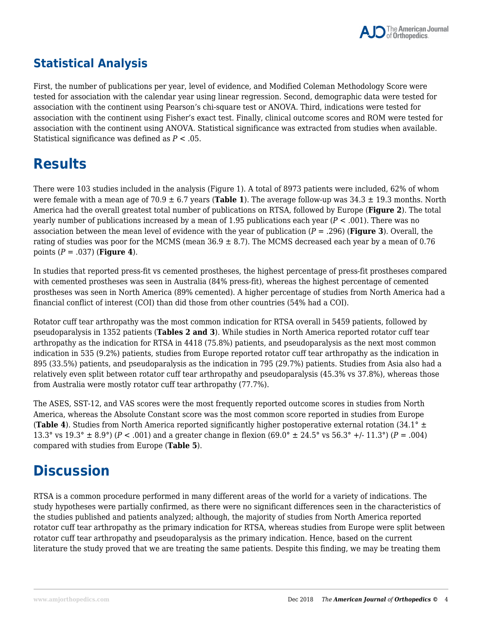### **Statistical Analysis**

First, the number of publications per year, level of evidence, and Modified Coleman Methodology Score were tested for association with the calendar year using linear regression. Second, demographic data were tested for association with the continent using Pearson's chi-square test or ANOVA. Third, indications were tested for association with the continent using Fisher's exact test. Finally, clinical outcome scores and ROM were tested for association with the continent using ANOVA. Statistical significance was extracted from studies when available. Statistical significance was defined as *P* < .05.

### **Results**

There were 103 studies included in the analysis (Figure 1). A total of 8973 patients were included, 62% of whom were female with a mean age of 70.9 ± 6.7 years (**Table 1**). The average follow-up was 34.3 ± 19.3 months. North America had the overall greatest total number of publications on RTSA, followed by Europe (**Figure 2**). The total yearly number of publications increased by a mean of 1.95 publications each year (*P* < .001). There was no association between the mean level of evidence with the year of publication (*P* = .296) (**Figure 3**). Overall, the rating of studies was poor for the MCMS (mean  $36.9 \pm 8.7$ ). The MCMS decreased each year by a mean of 0.76 points (*P* = .037) (**Figure 4**).

In studies that reported press-fit vs cemented prostheses, the highest percentage of press-fit prostheses compared with cemented prostheses was seen in Australia (84% press-fit), whereas the highest percentage of cemented prostheses was seen in North America (89% cemented). A higher percentage of studies from North America had a financial conflict of interest (COI) than did those from other countries (54% had a COI).

Rotator cuff tear arthropathy was the most common indication for RTSA overall in 5459 patients, followed by pseudoparalysis in 1352 patients (**Tables 2 and 3**). While studies in North America reported rotator cuff tear arthropathy as the indication for RTSA in 4418 (75.8%) patients, and pseudoparalysis as the next most common indication in 535 (9.2%) patients, studies from Europe reported rotator cuff tear arthropathy as the indication in 895 (33.5%) patients, and pseudoparalysis as the indication in 795 (29.7%) patients. Studies from Asia also had a relatively even split between rotator cuff tear arthropathy and pseudoparalysis (45.3% vs 37.8%), whereas those from Australia were mostly rotator cuff tear arthropathy (77.7%).

The ASES, SST-12, and VAS scores were the most frequently reported outcome scores in studies from North America, whereas the Absolute Constant score was the most common score reported in studies from Europe (**Table 4**). Studies from North America reported significantly higher postoperative external rotation (34.1° ± 13.3° vs  $19.3$ °  $\pm$  8.9°) ( $P < .001$ ) and a greater change in flexion (69.0°  $\pm$  24.5° vs  $56.3$ °  $\pm$ /- 11.3°) ( $P = .004$ ) compared with studies from Europe (**Table 5**).

### **Discussion**

RTSA is a common procedure performed in many different areas of the world for a variety of indications. The study hypotheses were partially confirmed, as there were no significant differences seen in the characteristics of the studies published and patients analyzed; although, the majority of studies from North America reported rotator cuff tear arthropathy as the primary indication for RTSA, whereas studies from Europe were split between rotator cuff tear arthropathy and pseudoparalysis as the primary indication. Hence, based on the current literature the study proved that we are treating the same patients. Despite this finding, we may be treating them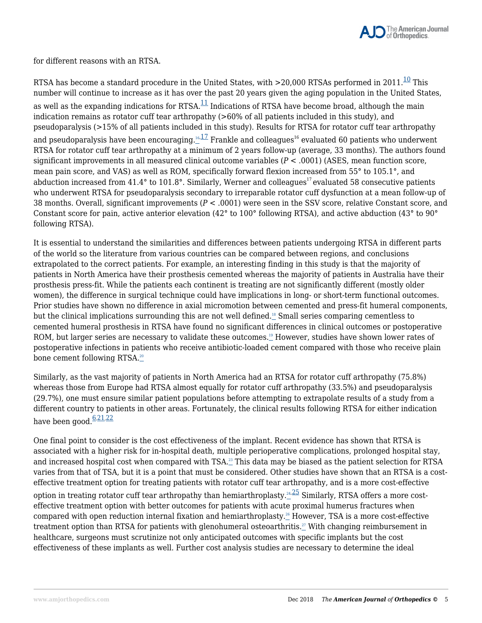

for different reasons with an RTSA.

RTSA has become a standard procedure in the United States, with  $>$ 20,000 RTSAs performed in 2011.<sup>10</sup> This number will continue to increase as it has over the past 20 years given the aging population in the United States, as well as the expanding indications for  $RTSA$ <sup>11</sup> Indications of RTSA have become broad, although the main indication remains as rotator cuff tear arthropathy (>60% of all patients included in this study), and pseudoparalysis (>15% of all patients included in this study). Results for RTSA for rotator cuff tear arthropathy and pseudoparalysis have been encouraging.<sup>16,17</sup> Frankle and colleagues<sup>16</sup> evaluated 60 patients who underwent RTSA for rotator cuff tear arthropathy at a minimum of 2 years follow-up (average, 33 months). The authors found significant improvements in all measured clinical outcome variables (*P* < .0001) (ASES, mean function score, mean pain score, and VAS) as well as ROM, specifically forward flexion increased from 55° to 105.1°, and abduction increased from  $41.4^{\circ}$  to  $101.8^{\circ}$ . Similarly, Werner and colleagues<sup>17</sup> evaluated 58 consecutive patients who underwent RTSA for pseudoparalysis secondary to irreparable rotator cuff dysfunction at a mean follow-up of 38 months. Overall, significant improvements (*P* < .0001) were seen in the SSV score, relative Constant score, and Constant score for pain, active anterior elevation (42° to 100° following RTSA), and active abduction (43° to 90° following RTSA).

It is essential to understand the similarities and differences between patients undergoing RTSA in different parts of the world so the literature from various countries can be compared between regions, and conclusions extrapolated to the correct patients. For example, an interesting finding in this study is that the majority of patients in North America have their prosthesis cemented whereas the majority of patients in Australia have their prosthesis press-fit. While the patients each continent is treating are not significantly different (mostly older women), the difference in surgical technique could have implications in long- or short-term functional outcomes. Prior studies have shown no difference in axial micromotion between cemented and press-fit humeral components, but the clinical implications surrounding this are not well defined.<sup>18</sup> Small series comparing cementless to cemented humeral prosthesis in RTSA have found no significant differences in clinical outcomes or postoperative ROM, but larger series are necessary to validate these outcomes.<sup>19</sup> However, studies have shown lower rates of postoperative infections in patients who receive antibiotic-loaded cement compared with those who receive plain bone cement following RTSA.<sup>20</sup>

Similarly, as the vast majority of patients in North America had an RTSA for rotator cuff arthropathy (75.8%) whereas those from Europe had RTSA almost equally for rotator cuff arthropathy (33.5%) and pseudoparalysis (29.7%), one must ensure similar patient populations before attempting to extrapolate results of a study from a different country to patients in other areas. Fortunately, the clinical results following RTSA for either indication have been good. $6,21,22$ 

One final point to consider is the cost effectiveness of the implant. Recent evidence has shown that RTSA is associated with a higher risk for in-hospital death, multiple perioperative complications, prolonged hospital stay, and increased hospital cost when compared with  $TSA.2^3$  This data may be biased as the patient selection for RTSA varies from that of TSA, but it is a point that must be considered. Other studies have shown that an RTSA is a costeffective treatment option for treating patients with rotator cuff tear arthropathy, and is a more cost-effective option in treating rotator cuff tear arthropathy than hemiarthroplasty.<sup>24,25</sup> Similarly, RTSA offers a more costeffective treatment option with better outcomes for patients with acute proximal humerus fractures when compared with open reduction internal fixation and hemiarthroplasty.<sup>26</sup> However, TSA is a more cost-effective treatment option than RTSA for patients with glenohumeral osteoarthritis. $\mathbb{Z}$  With changing reimbursement in healthcare, surgeons must scrutinize not only anticipated outcomes with specific implants but the cost effectiveness of these implants as well. Further cost analysis studies are necessary to determine the ideal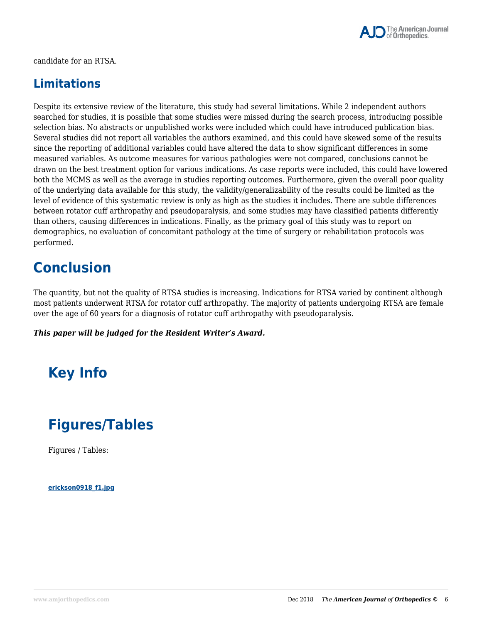

candidate for an RTSA.

### **Limitations**

Despite its extensive review of the literature, this study had several limitations. While 2 independent authors searched for studies, it is possible that some studies were missed during the search process, introducing possible selection bias. No abstracts or unpublished works were included which could have introduced publication bias. Several studies did not report all variables the authors examined, and this could have skewed some of the results since the reporting of additional variables could have altered the data to show significant differences in some measured variables. As outcome measures for various pathologies were not compared, conclusions cannot be drawn on the best treatment option for various indications. As case reports were included, this could have lowered both the MCMS as well as the average in studies reporting outcomes. Furthermore, given the overall poor quality of the underlying data available for this study, the validity/generalizability of the results could be limited as the level of evidence of this systematic review is only as high as the studies it includes. There are subtle differences between rotator cuff arthropathy and pseudoparalysis, and some studies may have classified patients differently than others, causing differences in indications. Finally, as the primary goal of this study was to report on demographics, no evaluation of concomitant pathology at the time of surgery or rehabilitation protocols was performed.

### **Conclusion**

The quantity, but not the quality of RTSA studies is increasing. Indications for RTSA varied by continent although most patients underwent RTSA for rotator cuff arthropathy. The majority of patients undergoing RTSA are female over the age of 60 years for a diagnosis of rotator cuff arthropathy with pseudoparalysis.

*This paper will be judged for the Resident Writer's Award.*

# **Key Info**

## **Figures/Tables**

Figures / Tables:

**erickson0918\_f1.jpg**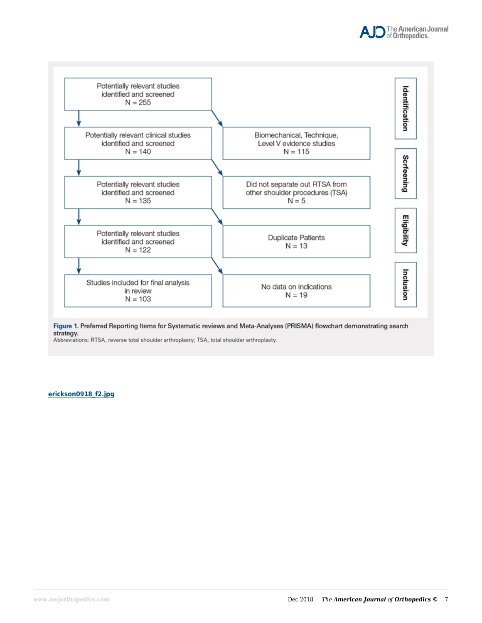



Figure 1. Preferred Reporting Items for Systematic reviews and Meta-Analyses (PRISMA) flowchart demonstrating search strategy.

Abbreviations: RTSA, reverse total shoulder arthroplasty; TSA, total shoulder arthroplasty.

#### **erickson0918\_f2.jpg**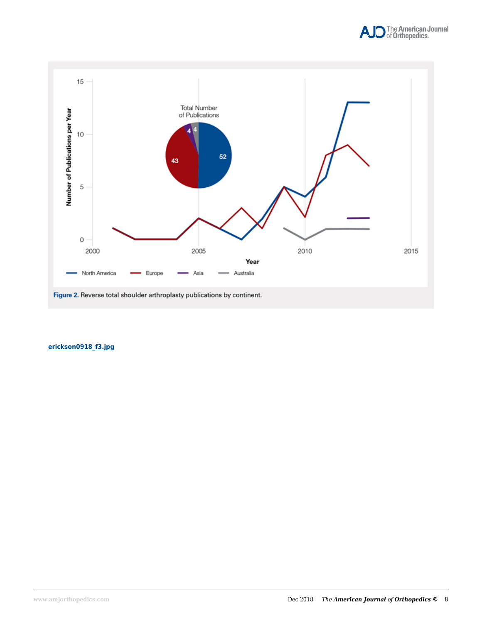



#### **erickson0918\_f3.jpg**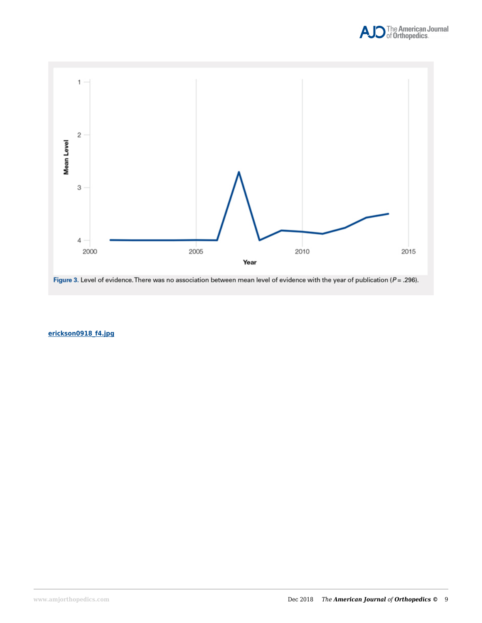



Figure 3. Level of evidence. There was no association between mean level of evidence with the year of publication ( $P = .296$ ).

**erickson0918\_f4.jpg**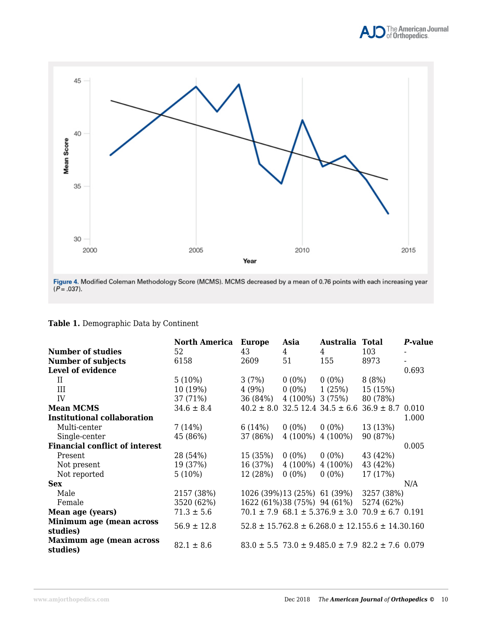



Figure 4. Modified Coleman Methodology Score (MCMS). MCMS decreased by a mean of 0.76 points with each increasing year  $(P = .037)$ .

|  | Table 1. Demographic Data by Continent |  |  |
|--|----------------------------------------|--|--|
|  |                                        |  |  |

|                                             | <b>North America</b> | <b>Europe</b>  | Asia       | Australia Total                                                  |            | P-value |
|---------------------------------------------|----------------------|----------------|------------|------------------------------------------------------------------|------------|---------|
| <b>Number of studies</b>                    | 52                   | 43             | 4          | 4                                                                | 103        |         |
| <b>Number of subjects</b>                   | 6158                 | 2609           | 51         | 155                                                              | 8973       |         |
| Level of evidence                           |                      |                |            |                                                                  |            | 0.693   |
| П                                           | $5(10\%)$            | 3(7%)          | $0(0\%)$   | $0(0\%)$                                                         | 8(8%)      |         |
| III                                         | 10 (19%)             | 4 (9%)         | $0(0\%)$   | 1(25%)                                                           | 15 (15%)   |         |
| IV                                          | 37 (71%)             | 36 (84%)       |            | 4 (100%) 3 (75%)                                                 | 80 (78%)   |         |
| <b>Mean MCMS</b>                            | $34.6 \pm 8.4$       | $40.2 \pm 8.0$ |            | $32.5$ 12.4 34.5 ± 6.6 36.9 ± 8.7 0.010                          |            |         |
| <b>Institutional collaboration</b>          |                      |                |            |                                                                  |            | 1.000   |
| Multi-center                                | 7(14%)               | 6 (14%)        | $0(0\%)$   | $0(0\%)$                                                         | 13 (13%)   |         |
| Single-center                               | 45 (86%)             | 37 (86%)       | $4(100\%)$ | $4(100\%)$                                                       | 90 (87%)   |         |
| <b>Financial conflict of interest</b>       |                      |                |            |                                                                  |            | 0.005   |
| Present                                     | 28 (54%)             | 15 (35%)       | $0(0\%)$   | $0(0\%)$                                                         | 43 (42%)   |         |
| Not present                                 | 19 (37%)             | 16 (37%)       | $4(100\%)$ | $4(100\%)$                                                       | 43 (42%)   |         |
| Not reported                                | $5(10\%)$            | 12 (28%)       | $0(0\%)$   | $0(0\%)$                                                         | 17 (17%)   |         |
| <b>Sex</b>                                  |                      |                |            |                                                                  |            | N/A     |
| Male                                        | 2157 (38%)           |                |            | 1026 (39%) 13 (25%) 61 (39%)                                     | 3257 (38%) |         |
| Female                                      | 3520 (62%)           |                |            | 1622 (61%) 38 (75%) 94 (61%)                                     | 5274 (62%) |         |
| Mean age (years)                            | $71.3 \pm 5.6$       |                |            | $70.1 \pm 7.9$ 68.1 $\pm$ 5.376.9 $\pm$ 3.0 70.9 $\pm$ 6.7 0.191 |            |         |
| Minimum age (mean across                    | $56.9 \pm 12.8$      |                |            | $52.8 \pm 15.762.8 \pm 6.268.0 \pm 12.155.6 \pm 14.30.160$       |            |         |
| studies)                                    |                      |                |            |                                                                  |            |         |
| <b>Maximum age (mean across</b><br>studies) | $82.1 \pm 8.6$       |                |            | $83.0 \pm 5.5$ 73.0 $\pm$ 9.485.0 $\pm$ 7.9 82.2 $\pm$ 7.6 0.079 |            |         |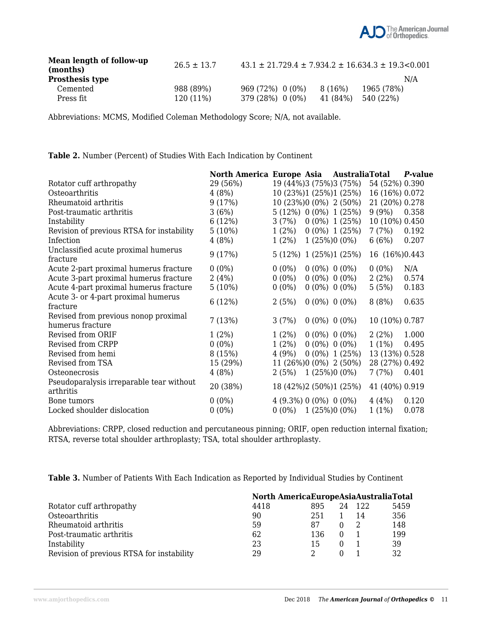

| Mean length of follow-up<br>(months) | $26.5 \pm 13.7$ | $43.1 \pm 21.729.4 \pm 7.934.2 \pm 16.634.3 \pm 19.3 \le 0.001$ |          |            |
|--------------------------------------|-----------------|-----------------------------------------------------------------|----------|------------|
| <b>Prosthesis type</b>               |                 |                                                                 |          | N/A        |
| Cemented                             | 988 (89%)       | 969 (72%) 0 (0%)                                                | 8 (16%)  | 1965 (78%) |
| Press fit                            | 120 (11%)       | 379 (28%) 0 (0%)                                                | 41 (84%) | 540 (22%)  |

Abbreviations: MCMS, Modified Coleman Methodology Score; N/A, not available.

**Table 2.** Number (Percent) of Studies With Each Indication by Continent

|                                                       | North America Europe Asia AustraliaTotal |                           |                    |                    |                | P-value |
|-------------------------------------------------------|------------------------------------------|---------------------------|--------------------|--------------------|----------------|---------|
| Rotator cuff arthropathy                              | 29 (56%)                                 | 19 (44%)3 (75%)3 (75%)    |                    |                    | 54 (52%) 0.390 |         |
| Osteoarthritis                                        | 4(8%)                                    | 10 (23%)1 (25%)1 (25%)    |                    |                    | 16 (16%) 0.072 |         |
| Rheumatoid arthritis                                  | 9(17%)                                   | 10 (23%)0 (0%) 2 (50%)    |                    |                    | 21 (20%) 0.278 |         |
| Post-traumatic arthritis                              | 3(6%)                                    | $5(12\%)$ 0 (0%) 1 (25%)  |                    |                    | 9(9%)          | 0.358   |
| Instability                                           | 6 (12%)                                  | 3(7%)                     |                    | $0(0\%) 1(25\%)$   | 10 (10%) 0.450 |         |
| Revision of previous RTSA for instability             | $5(10\%)$                                | $1(2\%)$                  |                    | $0(0\%) 1(25\%)$   | 7(7%)          | 0.192   |
| Infection                                             | 4(8%)                                    | $1(2\%)$                  |                    | $1(25\%)0(0\%)$    | 6(6%)          | 0.207   |
| Unclassified acute proximal humerus<br>fracture       | 9(17%)                                   | 5 (12%) 1 (25%)1 (25%)    |                    |                    | 16 (16%) 0.443 |         |
| Acute 2-part proximal humerus fracture                | $0(0\%)$                                 | $0(0\%)$                  | $0(0\%)$ 0 $(0\%)$ |                    | $0(0\%)$       | N/A     |
| Acute 3-part proximal humerus fracture                | 2(4%)                                    | $0(0\%)$                  |                    | $0(0\%)$ 0 $(0\%)$ | 2(2%)          | 0.574   |
| Acute 4-part proximal humerus fracture                | 5 (10%)                                  | $0(0\%)$                  | $0(0\%)$ 0 $(0\%)$ |                    | 5(5%)          | 0.183   |
| Acute 3- or 4-part proximal humerus                   | 6 (12%)                                  | 2(5%)                     | $0(0\%)$ 0 $(0\%)$ |                    | 8(8%)          | 0.635   |
| fracture                                              |                                          |                           |                    |                    |                |         |
| Revised from previous nonop proximal                  | 7(13%)                                   | 3(7%)                     |                    | $0(0\%)$ 0 $(0\%)$ | 10 (10%) 0.787 |         |
| humerus fracture                                      |                                          |                           |                    |                    |                |         |
| Revised from ORIF                                     | $1(2\%)$                                 | $1(2\%)$                  |                    | $0(0\%)$ $0(0\%)$  | 2(2%)          | 1.000   |
| Revised from CRPP                                     | $0(0\%)$                                 | $1(2\%)$                  |                    | $0(0\%)$ $0(0\%)$  | $1(1\%)$       | 0.495   |
| Revised from hemi                                     | 8 (15%)                                  | 4(9%)                     |                    | $0(0\%) 1(25\%)$   | 13 (13%) 0.528 |         |
| Revised from TSA                                      | 15 (29%)                                 | 11 (26%)0 (0%) 2 (50%)    |                    |                    | 28 (27%) 0.492 |         |
| Osteonecrosis                                         | 4(8%)                                    | $2(5\%)$ 1 $(25\%)0(0\%)$ |                    |                    | 7(7%)          | 0.401   |
| Pseudoparalysis irreparable tear without<br>arthritis | 20 (38%)                                 | 18 (42%)2 (50%)1 (25%)    |                    |                    | 41 (40%) 0.919 |         |
| Bone tumors                                           | $0(0\%)$                                 | $4(9.3\%) 0(0\%) 0(0\%)$  |                    |                    | 4(4%)          | 0.120   |
| Locked shoulder dislocation                           | $0(0\%)$                                 | $0(0\%)$ 1 (25%) $0(0\%)$ |                    |                    | $1(1\%)$       | 0.078   |

Abbreviations: CRPP, closed reduction and percutaneous pinning; ORIF, open reduction internal fixation; RTSA, reverse total shoulder arthroplasty; TSA, total shoulder arthroplasty.

**Table 3.** Number of Patients With Each Indication as Reported by Individual Studies by Continent

|                                           |      | North AmericaEuropeAsiaAustraliaTotal |    |     |      |
|-------------------------------------------|------|---------------------------------------|----|-----|------|
| Rotator cuff arthropathy                  | 4418 | 895                                   | 24 | 122 | 5459 |
| Osteoarthritis                            | 90   | 251                                   |    | 14  | 356  |
| Rheumatoid arthritis                      | 59   | 87                                    |    |     | 148  |
| Post-traumatic arthritis                  | 62   | 136                                   |    |     | 199  |
| Instability                               | 23   | 15                                    |    |     | 39   |
| Revision of previous RTSA for instability | 29   |                                       |    |     |      |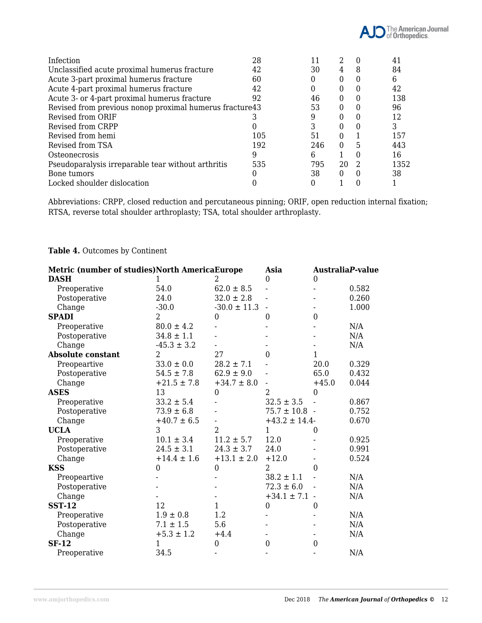

| Infection                                                | 28  | 11  |          |                | 41   |
|----------------------------------------------------------|-----|-----|----------|----------------|------|
| Unclassified acute proximal humerus fracture             | 42  | 30  | 4        | 8              | 84   |
| Acute 3-part proximal humerus fracture                   | 60  | 0   |          |                | 6    |
| Acute 4-part proximal humerus fracture                   | 42  |     |          |                | 42   |
| Acute 3- or 4-part proximal humerus fracture             | 92  | 46  |          |                | 138  |
| Revised from previous nonop proximal humerus fracture 43 |     | 53  | $^{(1)}$ |                | 96   |
| Revised from ORIF                                        |     | 9   |          |                | 12   |
| Revised from CRPP                                        |     | 3   |          |                |      |
| Revised from hemi                                        | 105 | 51  | $\theta$ |                | 157  |
| Revised from TSA                                         | 192 | 246 | 0        | 5              | 443  |
| Osteonecrosis                                            | 9   | 6   |          |                | 16   |
| Pseudoparalysis irreparable tear without arthritis       | 535 | 795 | 20       | $\mathfrak{D}$ | 1352 |
| Bone tumors                                              |     | 38  |          |                | 38   |
| Locked shoulder dislocation                              |     |     |          |                |      |

Abbreviations: CRPP, closed reduction and percutaneous pinning; ORIF, open reduction internal fixation; RTSA, reverse total shoulder arthroplasty; TSA, total shoulder arthroplasty.

#### **Table 4.** Outcomes by Continent

| Metric (number of studies)North AmericaEurope |                  | Asia             | <b>AustraliaP-value</b>  |                  |       |
|-----------------------------------------------|------------------|------------------|--------------------------|------------------|-------|
| <b>DASH</b>                                   |                  | 2                | $\mathbf{0}$             | $\mathbf{0}$     |       |
| Preoperative                                  | 54.0             | $62.0 \pm 8.5$   |                          |                  | 0.582 |
| Postoperative                                 | 24.0             | $32.0 \pm 2.8$   |                          |                  | 0.260 |
| Change                                        | $-30.0$          | $-30.0 \pm 11.3$ | $\overline{\phantom{a}}$ |                  | 1.000 |
| <b>SPADI</b>                                  | 2                | $\boldsymbol{0}$ | $\overline{0}$           | $\mathbf{0}$     |       |
| Preoperative                                  | $80.0 \pm 4.2$   |                  |                          |                  | N/A   |
| Postoperative                                 | $34.8 \pm 1.1$   |                  |                          |                  | N/A   |
| Change                                        | $-45.3 \pm 3.2$  |                  |                          |                  | N/A   |
| <b>Absolute constant</b>                      | $\overline{2}$   | 27               | $\theta$                 | $\mathbf{1}$     |       |
| Preopeartive                                  | $33.0 \pm 0.0$   | $28.2 \pm 7.1$   |                          | 20.0             | 0.329 |
| Postoperative                                 | $54.5 \pm 7.8$   | $62.9 \pm 9.0$   |                          | 65.0             | 0.432 |
| Change                                        | $+21.5 \pm 7.8$  | $+34.7 \pm 8.0$  |                          | $+45.0$          | 0.044 |
| <b>ASES</b>                                   | 13               | $\mathbf{0}$     | $\overline{2}$           | $\overline{0}$   |       |
| Preoperative                                  | $33.2 \pm 5.4$   |                  | $32.5 \pm 3.5$           |                  | 0.867 |
| Postoperative                                 | $73.9 \pm 6.8$   |                  | $75.7 \pm 10.8$ -        |                  | 0.752 |
| Change                                        | $+40.7 \pm 6.5$  |                  | $+43.2 \pm 14.4$         |                  | 0.670 |
| <b>UCLA</b>                                   | 3                | $\overline{2}$   | 1                        | $\theta$         |       |
| Preoperative                                  | $10.1 \pm 3.4$   | $11.2 \pm 5.7$   | 12.0                     |                  | 0.925 |
| Postoperative                                 | $24.5 \pm 3.1$   | $24.3 \pm 3.7$   | 24.0                     |                  | 0.991 |
| Change                                        | $+14.4 \pm 1.6$  | $+13.1 \pm 2.0$  | $+12.0$                  |                  | 0.524 |
| <b>KSS</b>                                    | $\boldsymbol{0}$ | $\mathbf{0}$     | $\overline{2}$           | $\overline{0}$   |       |
| Preopeartive                                  |                  |                  | $38.2 \pm 1.1$           |                  | N/A   |
| Postoperative                                 |                  |                  | $72.3 \pm 6.0$           |                  | N/A   |
| Change                                        |                  |                  | $+34.1 \pm 7.1$ -        |                  | N/A   |
| <b>SST-12</b>                                 | 12               | $\mathbf{1}$     | $\boldsymbol{0}$         | $\boldsymbol{0}$ |       |
| Preoperative                                  | $1.9 \pm 0.8$    | 1.2              |                          |                  | N/A   |
| Postoperative                                 | $7.1 \pm 1.5$    | 5.6              |                          |                  | N/A   |
| Change                                        | $+5.3 \pm 1.2$   | $+4.4$           |                          |                  | N/A   |
| <b>SF-12</b>                                  | 1                | $\mathbf{0}$     | $\mathbf{0}$             | $\mathbf{0}$     |       |
| Preoperative                                  | 34.5             |                  |                          |                  | N/A   |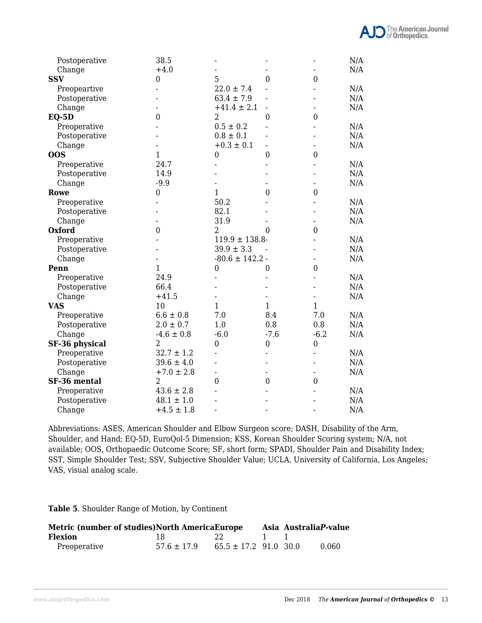| Postoperative  | 38.5             |                          |                  |                  | N/A |
|----------------|------------------|--------------------------|------------------|------------------|-----|
| Change         | $+4.0$           |                          |                  |                  | N/A |
| <b>SSV</b>     | 0                | 5                        | $\mathbf{0}$     | $\mathbf{0}$     |     |
| Preopeartive   |                  | $22.0 \pm 7.4$           |                  |                  | N/A |
| Postoperative  |                  | $63.4 \pm 7.9$           |                  |                  | N/A |
| Change         |                  | $+41.4 \pm 2.1$          |                  |                  | N/A |
| $EQ-5D$        | $\mathbf{0}$     | $\overline{2}$           | $\boldsymbol{0}$ | $\mathbf{0}$     |     |
| Preoperative   |                  | $0.5 \pm 0.2$            |                  |                  | N/A |
| Postoperative  |                  | $0.8 \pm 0.1$            |                  |                  | N/A |
| Change         |                  | $+0.3 \pm 0.1$           |                  |                  | N/A |
| <b>OOS</b>     | $\mathbf{1}$     | $\mathbf{0}$             | $\mathbf{0}$     | $\mathbf{0}$     |     |
| Preoperative   | 24.7             |                          |                  |                  | N/A |
| Postoperative  | 14.9             |                          |                  |                  | N/A |
| Change         | $-9.9$           |                          |                  |                  | N/A |
| Rowe           | $\mathbf{0}$     | $\mathbf{1}$             | $\boldsymbol{0}$ | $\mathbf{0}$     |     |
| Preoperative   |                  | 50.2                     |                  |                  | N/A |
| Postoperative  |                  | 82.1                     |                  |                  | N/A |
| Change         |                  | 31.9                     |                  |                  | N/A |
| <b>Oxford</b>  | $\boldsymbol{0}$ | $\overline{2}$           | $\theta$         | $\mathbf{0}$     |     |
| Preoperative   |                  | $119.9 \pm 138.8$        |                  |                  | N/A |
| Postoperative  |                  | $39.9 \pm 3.3$           |                  |                  | N/A |
| Change         |                  | $-80.6 \pm 142.2$        |                  |                  | N/A |
| Penn           | $\mathbf{1}$     | $\boldsymbol{0}$         | $\boldsymbol{0}$ | $\boldsymbol{0}$ |     |
| Preoperative   | 24.9             |                          |                  |                  | N/A |
| Postoperative  | 66.4             |                          |                  |                  | N/A |
| Change         | $+41.5$          |                          |                  |                  | N/A |
| <b>VAS</b>     | 10               | $\mathbf{1}$             | $\mathbf{1}$     | $\mathbf{1}$     |     |
| Preoperative   | $6.6 \pm 0.8$    | 7.0                      | 8.4              | 7.0              | N/A |
| Postoperative  | $2.0 \pm 0.7$    | 1.0                      | 0.8              | 0.8              | N/A |
| Change         | $-4.6 \pm 0.8$   | $-6.0$                   | $-7.6$           | $-6.2$           | N/A |
| SF-36 physical | $\overline{2}$   | $\boldsymbol{0}$         | $\boldsymbol{0}$ | $\boldsymbol{0}$ |     |
| Preoperative   | $32.7 \pm 1.2$   |                          |                  |                  | N/A |
| Postoperative  | $39.6 \pm 4.0$   |                          |                  |                  | N/A |
| Change         | $+7.0 \pm 2.8$   | $\overline{\phantom{0}}$ | $\blacksquare$   |                  | N/A |
| SF-36 mental   | $\overline{2}$   | $\boldsymbol{0}$         | $\mathbf{0}$     | $\boldsymbol{0}$ |     |
| Preoperative   | $43.6 \pm 2.8$   |                          |                  |                  | N/A |
| Postoperative  | $48.1 \pm 1.0$   |                          |                  |                  | N/A |
| Change         | $+4.5 \pm 1.8$   |                          |                  |                  | N/A |

Abbreviations: ASES, American Shoulder and Elbow Surgeon score; DASH, Disability of the Arm, Shoulder, and Hand; EQ-5D, EuroQol-5 Dimension; KSS, Korean Shoulder Scoring system; N/A, not available; OOS, Orthopaedic Outcome Score; SF, short form; SPADI, Shoulder Pain and Disability Index; SST, Simple Shoulder Test; SSV, Subjective Shoulder Value; UCLA, University of California, Los Angeles; VAS, visual analog scale.

**Table 5**. Shoulder Range of Motion, by Continent

| Metric (number of studies) North America Europe |                 |                           |  | Asia AustraliaP-value |       |
|-------------------------------------------------|-----------------|---------------------------|--|-----------------------|-------|
| Flexion                                         | 18 -            | $-22$                     |  |                       |       |
| Preoperative                                    | $57.6 \pm 17.9$ | $65.5 \pm 17.2$ 91.0 30.0 |  |                       | 0.060 |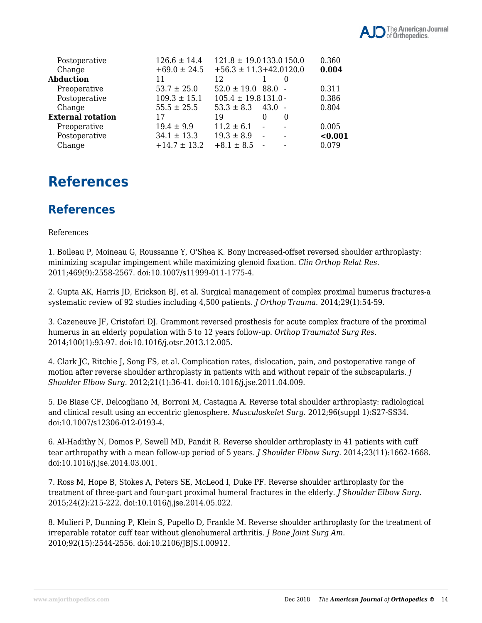

| Postoperative            | $126.6 \pm 14.4$ | $121.8 \pm 19.0133.0150.0$                 | 0.360   |
|--------------------------|------------------|--------------------------------------------|---------|
| Change                   | $+69.0 \pm 24.5$ | $+56.3 \pm 11.3 + 42.0120.0$               | 0.004   |
| Abduction                | 11               | 12                                         |         |
| Preoperative             | $53.7 \pm 25.0$  | $52.0 \pm 19.0$ 88.0 -                     | 0.311   |
| Postoperative            | $109.3 \pm 15.1$ | $105.4 \pm 19.8131.0$                      | 0.386   |
| Change                   | $55.5 \pm 25.5$  | $53.3 \pm 8.3$<br>43.0 -                   | 0.804   |
| <b>External rotation</b> | 17               | 19<br>0<br>$\Omega$                        |         |
| Preoperative             | $19.4 \pm 9.9$   | $11.2 \pm 6.1$<br>$\overline{\phantom{a}}$ | 0.005   |
| Postoperative            | $34.1 \pm 13.3$  | $19.3 \pm 8.9$<br>$\sim$                   | < 0.001 |
| Change                   | $+14.7 \pm 13.2$ | $+8.1 \pm 8.5$                             | 0.079   |

### **References**

### **References**

#### References

1. Boileau P, Moineau G, Roussanne Y, O'Shea K. Bony increased-offset reversed shoulder arthroplasty: minimizing scapular impingement while maximizing glenoid fixation. *Clin Orthop Relat Res*. 2011;469(9):2558-2567. doi:10.1007/s11999-011-1775-4.

2. Gupta AK, Harris JD, Erickson BJ, et al. Surgical management of complex proximal humerus fractures-a systematic review of 92 studies including 4,500 patients. *J Orthop Trauma*. 2014;29(1):54-59.

3. Cazeneuve JF, Cristofari DJ. Grammont reversed prosthesis for acute complex fracture of the proximal humerus in an elderly population with 5 to 12 years follow-up. *Orthop Traumatol Surg Res*. 2014;100(1):93-97. doi:10.1016/j.otsr.2013.12.005.

4. Clark JC, Ritchie J, Song FS, et al. Complication rates, dislocation, pain, and postoperative range of motion after reverse shoulder arthroplasty in patients with and without repair of the subscapularis. *J Shoulder Elbow Surg*. 2012;21(1):36-41. doi:10.1016/j.jse.2011.04.009.

5. De Biase CF, Delcogliano M, Borroni M, Castagna A. Reverse total shoulder arthroplasty: radiological and clinical result using an eccentric glenosphere. *Musculoskelet Surg*. 2012;96(suppl 1):S27-SS34. doi:10.1007/s12306-012-0193-4.

6. Al-Hadithy N, Domos P, Sewell MD, Pandit R. Reverse shoulder arthroplasty in 41 patients with cuff tear arthropathy with a mean follow-up period of 5 years. *J Shoulder Elbow Surg*. 2014;23(11):1662-1668. doi:10.1016/j.jse.2014.03.001.

7. Ross M, Hope B, Stokes A, Peters SE, McLeod I, Duke PF. Reverse shoulder arthroplasty for the treatment of three-part and four-part proximal humeral fractures in the elderly. *J Shoulder Elbow Surg*. 2015;24(2):215-222. doi:10.1016/j.jse.2014.05.022.

8. Mulieri P, Dunning P, Klein S, Pupello D, Frankle M. Reverse shoulder arthroplasty for the treatment of irreparable rotator cuff tear without glenohumeral arthritis. *J Bone Joint Surg Am*. 2010;92(15):2544-2556. doi:10.2106/JBJS.I.00912.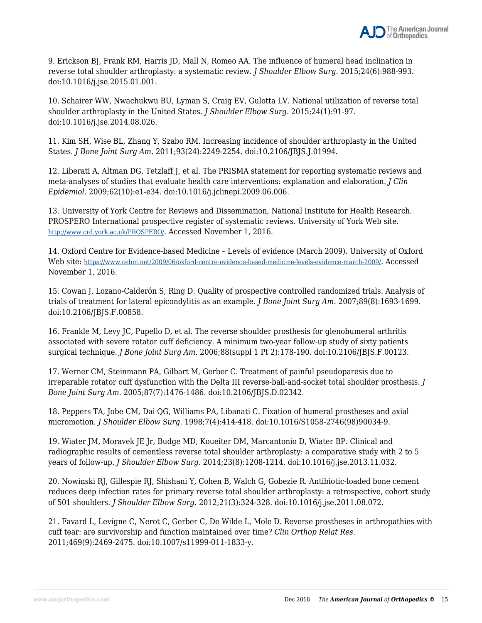9. Erickson BJ, Frank RM, Harris JD, Mall N, Romeo AA. The influence of humeral head inclination in reverse total shoulder arthroplasty: a systematic review. *J Shoulder Elbow Surg*. 2015;24(6):988-993. doi:10.1016/j.jse.2015.01.001.

10. Schairer WW, Nwachukwu BU, Lyman S, Craig EV, Gulotta LV. National utilization of reverse total shoulder arthroplasty in the United States. *J Shoulder Elbow Surg*. 2015;24(1):91-97. doi:10.1016/j.jse.2014.08.026.

11. Kim SH, Wise BL, Zhang Y, Szabo RM. Increasing incidence of shoulder arthroplasty in the United States. *J Bone Joint Surg Am*. 2011;93(24):2249-2254. doi:10.2106/JBJS.J.01994.

12. Liberati A, Altman DG, Tetzlaff J, et al. The PRISMA statement for reporting systematic reviews and meta-analyses of studies that evaluate health care interventions: explanation and elaboration. *J Clin Epidemiol*. 2009;62(10):e1-e34. doi:10.1016/j.jclinepi.2009.06.006.

13. University of York Centre for Reviews and Dissemination, National Institute for Health Research. PROSPERO International prospective register of systematic reviews. University of York Web site. http://www.crd.york.ac.uk/PROSPERO/. Accessed November 1, 2016.

14. Oxford Centre for Evidence-based Medicine – Levels of evidence (March 2009). University of Oxford Web site: https://www.cebm.net/2009/06/oxford-centre-evidence-based-medicine-levels-evidence-march-2009/. Accessed November 1, 2016.

15. Cowan J, Lozano-Calderón S, Ring D. Quality of prospective controlled randomized trials. Analysis of trials of treatment for lateral epicondylitis as an example. *J Bone Joint Surg Am*. 2007;89(8):1693-1699. doi:10.2106/JBJS.F.00858.

16. Frankle M, Levy JC, Pupello D, et al. The reverse shoulder prosthesis for glenohumeral arthritis associated with severe rotator cuff deficiency. A minimum two-year follow-up study of sixty patients surgical technique. *J Bone Joint Surg Am*. 2006;88(suppl 1 Pt 2):178-190. doi:10.2106/JBJS.F.00123.

17. Werner CM, Steinmann PA, Gilbart M, Gerber C. Treatment of painful pseudoparesis due to irreparable rotator cuff dysfunction with the Delta III reverse-ball-and-socket total shoulder prosthesis. *J Bone Joint Surg Am*. 2005;87(7):1476-1486. doi:10.2106/JBJS.D.02342.

18. Peppers TA, Jobe CM, Dai QG, Williams PA, Libanati C. Fixation of humeral prostheses and axial micromotion. *J Shoulder Elbow Surg*. 1998;7(4):414-418. doi:10.1016/S1058-2746(98)90034-9.

19. Wiater JM, Moravek JE Jr, Budge MD, Koueiter DM, Marcantonio D, Wiater BP. Clinical and radiographic results of cementless reverse total shoulder arthroplasty: a comparative study with 2 to 5 years of follow-up. *J Shoulder Elbow Surg*. 2014;23(8):1208-1214. doi:10.1016/j.jse.2013.11.032.

20. Nowinski RJ, Gillespie RJ, Shishani Y, Cohen B, Walch G, Gobezie R. Antibiotic-loaded bone cement reduces deep infection rates for primary reverse total shoulder arthroplasty: a retrospective, cohort study of 501 shoulders. *J Shoulder Elbow Surg*. 2012;21(3):324-328. doi:10.1016/j.jse.2011.08.072.

21. Favard L, Levigne C, Nerot C, Gerber C, De Wilde L, Mole D. Reverse prostheses in arthropathies with cuff tear: are survivorship and function maintained over time? *Clin Orthop Relat Res*. 2011;469(9):2469-2475. doi:10.1007/s11999-011-1833-y.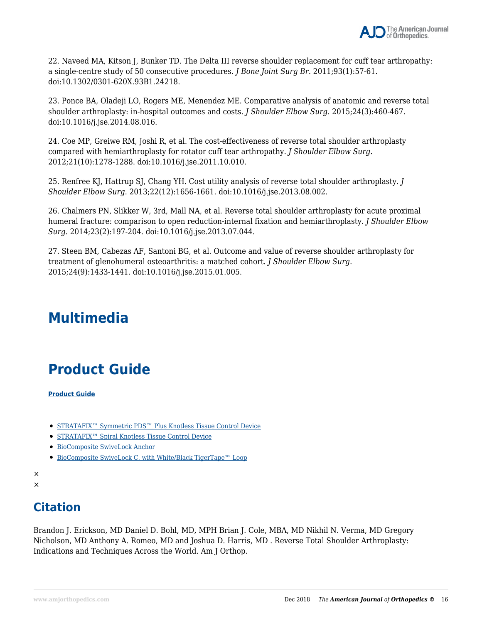

22. Naveed MA, Kitson J, Bunker TD. The Delta III reverse shoulder replacement for cuff tear arthropathy: a single-centre study of 50 consecutive procedures. *J Bone Joint Surg Br.* 2011;93(1):57-61. doi:10.1302/0301-620X.93B1.24218.

23. Ponce BA, Oladeji LO, Rogers ME, Menendez ME. Comparative analysis of anatomic and reverse total shoulder arthroplasty: in-hospital outcomes and costs. *J Shoulder Elbow Surg*. 2015;24(3):460-467. doi:10.1016/j.jse.2014.08.016.

24. Coe MP, Greiwe RM, Joshi R, et al. The cost-effectiveness of reverse total shoulder arthroplasty compared with hemiarthroplasty for rotator cuff tear arthropathy. *J Shoulder Elbow Surg*. 2012;21(10):1278-1288. doi:10.1016/j.jse.2011.10.010.

25. Renfree KJ, Hattrup SJ, Chang YH. Cost utility analysis of reverse total shoulder arthroplasty. *J Shoulder Elbow Surg*. 2013;22(12):1656-1661. doi:10.1016/j.jse.2013.08.002.

26. Chalmers PN, Slikker W, 3rd, Mall NA, et al. Reverse total shoulder arthroplasty for acute proximal humeral fracture: comparison to open reduction-internal fixation and hemiarthroplasty. *J Shoulder Elbow Surg*. 2014;23(2):197-204. doi:10.1016/j.jse.2013.07.044.

27. Steen BM, Cabezas AF, Santoni BG, et al. Outcome and value of reverse shoulder arthroplasty for treatment of glenohumeral osteoarthritis: a matched cohort. *J Shoulder Elbow Surg*. 2015;24(9):1433-1441. doi:10.1016/j.jse.2015.01.005.

## **Multimedia**

## **Product Guide**

**Product Guide**

- STRATAFIX™ Symmetric PDS™ Plus Knotless Tissue Control Device
- STRATAFIX<sup>™</sup> Spiral Knotless Tissue Control Device
- BioComposite SwiveLock Anchor
- BioComposite SwiveLock C, with White/Black TigerTape™ Loop

### **Citation**

Brandon J. Erickson, MD Daniel D. Bohl, MD, MPH Brian J. Cole, MBA, MD Nikhil N. Verma, MD Gregory Nicholson, MD Anthony A. Romeo, MD and Joshua D. Harris, MD . Reverse Total Shoulder Arthroplasty: Indications and Techniques Across the World. Am J Orthop.

<sup>×</sup> ×